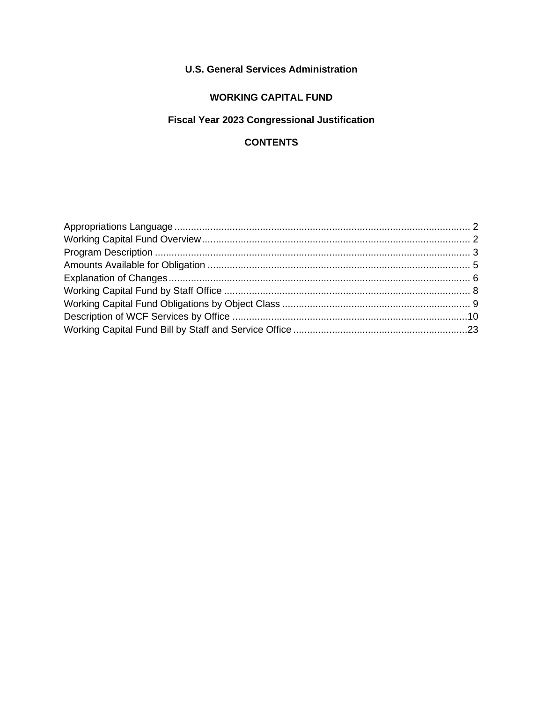## **U.S. General Services Administration**

## **WORKING CAPITAL FUND**

# **Fiscal Year 2023 Congressional Justification**

## **CONTENTS**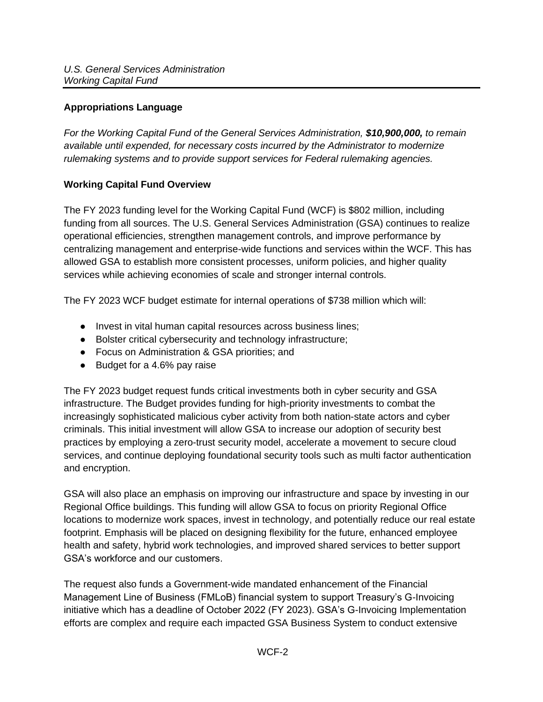## <span id="page-1-0"></span>**Appropriations Language**

*For the Working Capital Fund of the General Services Administration, \$10,900,000, to remain available until expended, for necessary costs incurred by the Administrator to modernize rulemaking systems and to provide support services for Federal rulemaking agencies.* 

## <span id="page-1-1"></span>**Working Capital Fund Overview**

The FY 2023 funding level for the Working Capital Fund (WCF) is \$802 million, including funding from all sources. The U.S. General Services Administration (GSA) continues to realize operational efficiencies, strengthen management controls, and improve performance by centralizing management and enterprise-wide functions and services within the WCF. This has allowed GSA to establish more consistent processes, uniform policies, and higher quality services while achieving economies of scale and stronger internal controls.

The FY 2023 WCF budget estimate for internal operations of \$738 million which will:

- Invest in vital human capital resources across business lines;
- Bolster critical cybersecurity and technology infrastructure;
- Focus on Administration & GSA priorities; and
- Budget for a 4.6% pay raise

The FY 2023 budget request funds critical investments both in cyber security and GSA infrastructure. The Budget provides funding for high-priority investments to combat the increasingly sophisticated malicious cyber activity from both nation-state actors and cyber criminals. This initial investment will allow GSA to increase our adoption of security best practices by employing a zero-trust security model, accelerate a movement to secure cloud services, and continue deploying foundational security tools such as multi factor authentication and encryption.

GSA will also place an emphasis on improving our infrastructure and space by investing in our Regional Office buildings. This funding will allow GSA to focus on priority Regional Office locations to modernize work spaces, invest in technology, and potentially reduce our real estate footprint. Emphasis will be placed on designing flexibility for the future, enhanced employee health and safety, hybrid work technologies, and improved shared services to better support GSA's workforce and our customers.

The request also funds a Government-wide mandated enhancement of the Financial Management Line of Business (FMLoB) financial system to support Treasury's G-Invoicing initiative which has a deadline of October 2022 (FY 2023). GSA's G-Invoicing Implementation efforts are complex and require each impacted GSA Business System to conduct extensive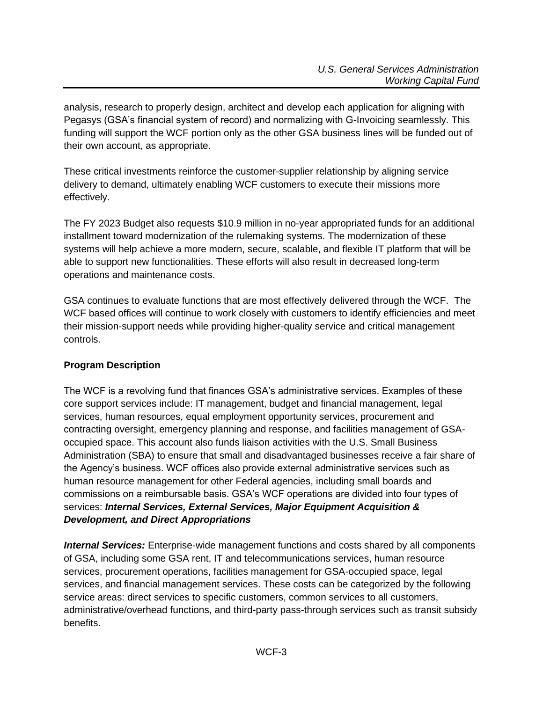analysis, research to properly design, architect and develop each application for aligning with Pegasys (GSA's financial system of record) and normalizing with G-Invoicing seamlessly. This funding will support the WCF portion only as the other GSA business lines will be funded out of their own account, as appropriate.

These critical investments reinforce the customer-supplier relationship by aligning service delivery to demand, ultimately enabling WCF customers to execute their missions more effectively.

The FY 2023 Budget also requests \$10.9 million in no-year appropriated funds for an additional installment toward modernization of the rulemaking systems. The modernization of these systems will help achieve a more modern, secure, scalable, and flexible IT platform that will be able to support new functionalities. These efforts will also result in decreased long-term operations and maintenance costs.

GSA continues to evaluate functions that are most effectively delivered through the WCF. The WCF based offices will continue to work closely with customers to identify efficiencies and meet their mission-support needs while providing higher-quality service and critical management controls.

## <span id="page-2-0"></span>**Program Description**

The WCF is a revolving fund that finances GSA's administrative services. Examples of these core support services include: IT management, budget and financial management, legal services, human resources, equal employment opportunity services, procurement and contracting oversight, emergency planning and response, and facilities management of GSAoccupied space. This account also funds liaison activities with the U.S. Small Business Administration (SBA) to ensure that small and disadvantaged businesses receive a fair share of the Agency's business. WCF offices also provide external administrative services such as human resource management for other Federal agencies, including small boards and commissions on a reimbursable basis. GSA's WCF operations are divided into four types of services: *Internal Services, External Services, Major Equipment Acquisition & Development, and Direct Appropriations*

*Internal Services:* Enterprise-wide management functions and costs shared by all components of GSA, including some GSA rent, IT and telecommunications services, human resource services, procurement operations, facilities management for GSA-occupied space, legal services, and financial management services. These costs can be categorized by the following service areas: direct services to specific customers, common services to all customers, administrative/overhead functions, and third-party pass-through services such as transit subsidy benefits.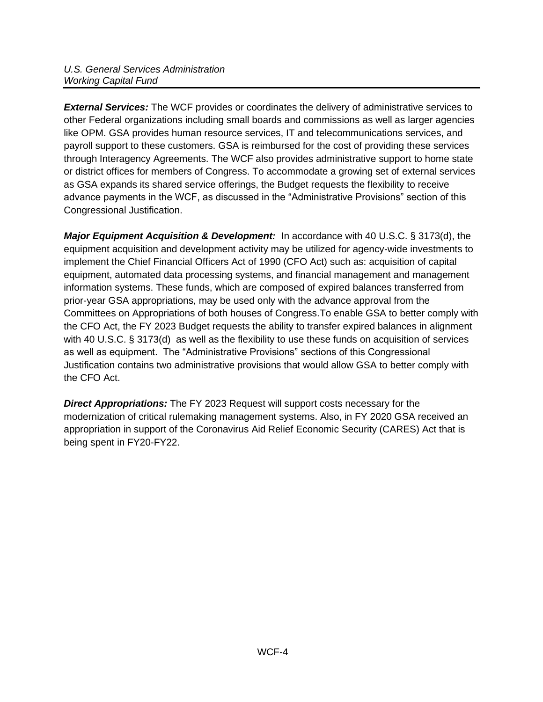**External Services:** The WCF provides or coordinates the delivery of administrative services to other Federal organizations including small boards and commissions as well as larger agencies like OPM. GSA provides human resource services, IT and telecommunications services, and payroll support to these customers. GSA is reimbursed for the cost of providing these services through Interagency Agreements. The WCF also provides administrative support to home state or district offices for members of Congress. To accommodate a growing set of external services as GSA expands its shared service offerings, the Budget requests the flexibility to receive advance payments in the WCF, as discussed in the "Administrative Provisions" section of this Congressional Justification.

*Major Equipment Acquisition & Development:* In accordance with 40 U.S.C. § 3173(d), the equipment acquisition and development activity may be utilized for agency-wide investments to implement the Chief Financial Officers Act of 1990 (CFO Act) such as: acquisition of capital equipment, automated data processing systems, and financial management and management information systems. These funds, which are composed of expired balances transferred from prior-year GSA appropriations, may be used only with the advance approval from the Committees on Appropriations of both houses of Congress.To enable GSA to better comply with the CFO Act, the FY 2023 Budget requests the ability to transfer expired balances in alignment with 40 U.S.C. § 3173(d) as well as the flexibility to use these funds on acquisition of services as well as equipment. The "Administrative Provisions" sections of this Congressional Justification contains two administrative provisions that would allow GSA to better comply with the CFO Act.

*Direct Appropriations:* The FY 2023 Request will support costs necessary for the modernization of critical rulemaking management systems. Also, in FY 2020 GSA received an appropriation in support of the Coronavirus Aid Relief Economic Security (CARES) Act that is being spent in FY20-FY22.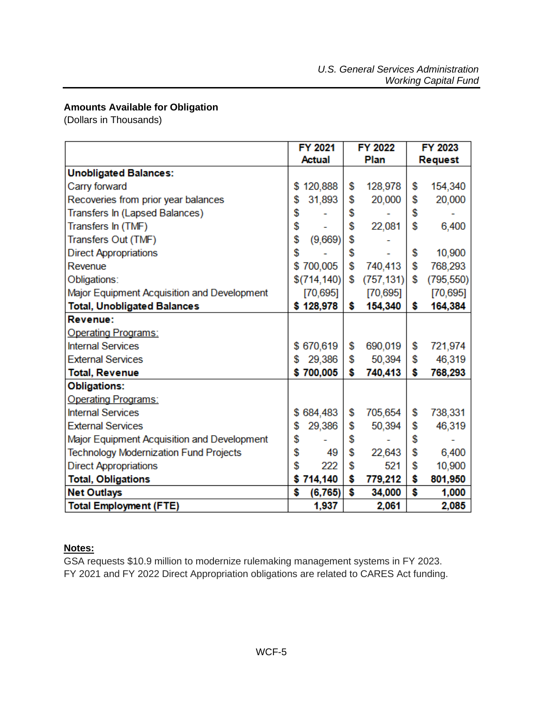## <span id="page-4-0"></span>**Amounts Available for Obligation**

(Dollars in Thousands)

|                                               | <b>FY 2021</b> | <b>FY 2022</b>   | <b>FY 2023</b>   |
|-----------------------------------------------|----------------|------------------|------------------|
|                                               | Actual         | Plan             | <b>Request</b>   |
| <b>Unobligated Balances:</b>                  |                |                  |                  |
| Carry forward                                 | \$<br>120,888  | \$<br>128,978    | \$<br>154,340    |
| Recoveries from prior year balances           | \$<br>31,893   | \$<br>20,000     | \$<br>20,000     |
| Transfers In (Lapsed Balances)                | \$             | \$               | \$               |
| Transfers In (TMF)                            | \$             | \$<br>22,081     | \$<br>6,400      |
| Transfers Out (TMF)                           | \$<br>(9,669)  | \$               |                  |
| <b>Direct Appropriations</b>                  | \$             | \$               | \$<br>10,900     |
| Revenue                                       | \$700,005      | \$<br>740,413    | \$<br>768,293    |
| Obligations:                                  | \$(714, 140)   | \$<br>(757, 131) | \$<br>(795, 550) |
| Major Equipment Acquisition and Development   | [70, 695]      | [70, 695]        | [70, 695]        |
| <b>Total, Unobligated Balances</b>            | \$128,978      | \$<br>154,340    | \$<br>164,384    |
| Revenue:                                      |                |                  |                  |
| <b>Operating Programs:</b>                    |                |                  |                  |
| <b>Internal Services</b>                      | \$670,619      | \$<br>690,019    | \$<br>721,974    |
| <b>External Services</b>                      | \$<br>29,386   | \$<br>50,394     | \$<br>46,319     |
| <b>Total, Revenue</b>                         | \$700,005      | \$<br>740,413    | \$<br>768,293    |
| <b>Obligations:</b>                           |                |                  |                  |
| <b>Operating Programs:</b>                    |                |                  |                  |
| <b>Internal Services</b>                      | \$684,483      | \$<br>705,654    | \$<br>738,331    |
| <b>External Services</b>                      | \$<br>29,386   | \$<br>50,394     | \$<br>46,319     |
| Major Equipment Acquisition and Development   | \$             | \$               | \$               |
| <b>Technology Modernization Fund Projects</b> | \$<br>49       | \$<br>22,643     | \$<br>6,400      |
| <b>Direct Appropriations</b>                  | \$<br>222      | \$<br>521        | \$<br>10,900     |
| <b>Total, Obligations</b>                     | \$<br>714,140  | \$<br>779,212    | \$<br>801,950    |
| <b>Net Outlays</b>                            | \$<br>(6, 765) | \$<br>34,000     | \$<br>1,000      |
| <b>Total Employment (FTE)</b>                 | 1,937          | 2,061            | 2,085            |

### **Notes:**

GSA requests \$10.9 million to modernize rulemaking management systems in FY 2023. FY 2021 and FY 2022 Direct Appropriation obligations are related to CARES Act funding.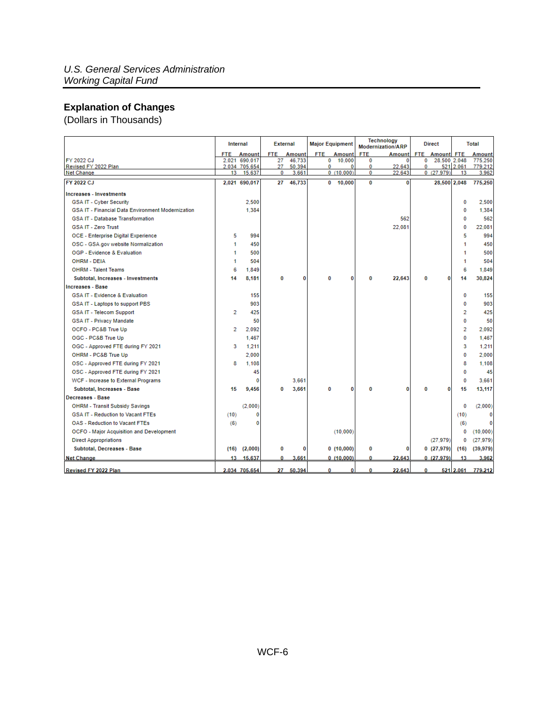## <span id="page-5-0"></span>**Explanation of Changes**

(Dollars in Thousands)

|                                                   |            | Internal                |            | <b>External</b> | <b>Major Equipment</b> |                |               | <b>Technology</b><br><b>Modernization/ARP</b> |            | <b>Direct</b>     |                 | <b>Total</b>      |
|---------------------------------------------------|------------|-------------------------|------------|-----------------|------------------------|----------------|---------------|-----------------------------------------------|------------|-------------------|-----------------|-------------------|
|                                                   | <b>FTE</b> | Amount                  | <b>FTE</b> | <b>Amount</b>   | <b>FTE</b>             | Amount         | <b>FTE</b>    | Amount                                        | <b>FTE</b> | <b>Amount FTE</b> |                 | <b>Amount</b>     |
| FY 2022 CJ                                        |            | 2.021 690.017           | 27         | 46.733          | 0                      | 10.000         | 0             | 0                                             | 0          | 28.500 2.048      |                 | 775.250           |
| Revised FY 2022 Plan<br><b>Net Change</b>         | 13         | 2,034 705,654<br>15,637 | 27<br>0    | 50,394<br>3,661 | 0                      | 0<br>0(10,000) | 0<br>$\bf{0}$ | 22.643<br>22.643                              | 0          | 0(27,979)         | 521 2.061<br>13 | 779,212<br>3,962  |
|                                                   |            |                         |            |                 |                        |                |               |                                               |            |                   |                 |                   |
| FY 2022 CJ                                        |            | 2,021 690,017           | 27         | 46,733          | 0                      | 10,000         | $\bf{0}$      | 0                                             |            | 28,500 2,048      |                 | 775,250           |
| <b>Increases - Investments</b>                    |            |                         |            |                 |                        |                |               |                                               |            |                   |                 |                   |
| <b>GSA IT - Cyber Security</b>                    |            | 2,500                   |            |                 |                        |                |               |                                               |            |                   | o               | 2,500             |
| GSA IT - Financial Data Environment Modernization |            | 1.384                   |            |                 |                        |                |               |                                               |            |                   | o               | 1,384             |
| <b>GSA IT - Database Transformation</b>           |            |                         |            |                 |                        |                |               | 562                                           |            |                   | $\mathbf{0}$    | 562               |
| <b>GSA IT - Zero Trust</b>                        |            |                         |            |                 |                        |                |               | 22.081                                        |            |                   | $\bf{0}$        | 22.081            |
| <b>OCE - Enterprise Digital Experience</b>        | 5          | 994                     |            |                 |                        |                |               |                                               |            |                   | 5               | 994               |
| OSC - GSA.gov website Normalization               |            | 450                     |            |                 |                        |                |               |                                               |            |                   |                 | 450               |
| OGP - Evidence & Evaluation                       |            | 500                     |            |                 |                        |                |               |                                               |            |                   |                 | 500               |
| <b>OHRM - DEIA</b>                                |            | 504                     |            |                 |                        |                |               |                                               |            |                   |                 | 504               |
| <b>OHRM - Talent Teams</b>                        | 6          | 1.849                   |            |                 |                        |                |               |                                               |            |                   | 6               | 1.849             |
| Subtotal, Increases - Investments                 | 14         | 8.181                   | 0          | 0               | 0                      | 0              | $\bf{0}$      | 22,643                                        | 0          | $\bf{0}$          | 14              | 30,824            |
| <b>Increases - Base</b>                           |            |                         |            |                 |                        |                |               |                                               |            |                   |                 |                   |
| <b>GSA IT - Evidence &amp; Evaluation</b>         |            | 155                     |            |                 |                        |                |               |                                               |            |                   | 0               | 155               |
| GSA IT - Laptops to support PBS                   |            | 903                     |            |                 |                        |                |               |                                               |            |                   | o               | 903               |
| <b>GSA IT - Telecom Support</b>                   | 2          | 425                     |            |                 |                        |                |               |                                               |            |                   | $\overline{2}$  | 425               |
| <b>GSA IT - Privacy Mandate</b>                   |            | 50                      |            |                 |                        |                |               |                                               |            |                   | o               | 50                |
| OCFO - PC&B True Up                               | 2          | 2.092                   |            |                 |                        |                |               |                                               |            |                   | $\overline{2}$  | 2.092             |
| OGC - PC&B True Up                                |            | 1.467                   |            |                 |                        |                |               |                                               |            |                   | $\bf{0}$        | 1.467             |
| OGC - Approved FTE during FY 2021                 | 3          | 1.211                   |            |                 |                        |                |               |                                               |            |                   | 3               | 1.211             |
| OHRM - PC&B True Up                               |            | 2,000                   |            |                 |                        |                |               |                                               |            |                   | $\mathbf{0}$    | 2.000             |
| OSC - Approved FTE during FY 2021                 | 8          | 1.108                   |            |                 |                        |                |               |                                               |            |                   | 8               | 1,108             |
| OSC - Approved FTE during FY 2021                 |            | 45                      |            |                 |                        |                |               |                                               |            |                   | 0               | 45                |
| WCF - Increase to External Programs               |            | 0                       |            | 3.661           |                        |                |               |                                               |            |                   | 0               | 3.661             |
| Subtotal, Increases - Base                        | 15         | 9,456                   | 0          | 3,661           | 0                      | 0              | $\bf{0}$      | O                                             | O          | 0                 | 15              | 13,117            |
| Decreases - Base                                  |            |                         |            |                 |                        |                |               |                                               |            |                   |                 |                   |
| <b>OHRM - Transit Subsidy Savings</b>             |            | (2.000)                 |            |                 |                        |                |               |                                               |            |                   | $\bf{0}$        | (2,000)           |
| <b>GSA IT - Reduction to Vacant FTEs</b>          | (10)       | 0                       |            |                 |                        |                |               |                                               |            |                   | (10)            | 0                 |
| <b>OAS - Reduction to Vacant FTEs</b>             | (6)        | 0                       |            |                 |                        |                |               |                                               |            |                   | (6)             |                   |
| <b>OCFO</b> - Major Acquisition and Development   |            |                         |            |                 |                        | (10,000)       |               |                                               |            |                   | 0               | (10.000)          |
| <b>Direct Appropriations</b>                      |            |                         |            |                 |                        |                |               |                                               |            | (27.979)          | 0               | (27, 979)         |
| Subtotal, Decreases - Base                        | (16)       | (2,000)                 | 0          | 0               |                        | 0(10,000)      | 0             | 0                                             |            | 0(27,979)         | (16)            | (39, 979)         |
| <b>Net Change</b>                                 | $13-13$    | 15,637                  | 0          | 3.661           |                        | 0(10,000)      | $\bf{0}$      | 22.643                                        |            | 0(27.979)         | 13              | 3.962             |
| Revised FY 2022 Plan                              |            | 2.034 705.654           |            | 27 50.394       | 0                      | $\mathbf{0}$   | 0             | 22.643                                        | 0          |                   |                 | 521 2.061 779.212 |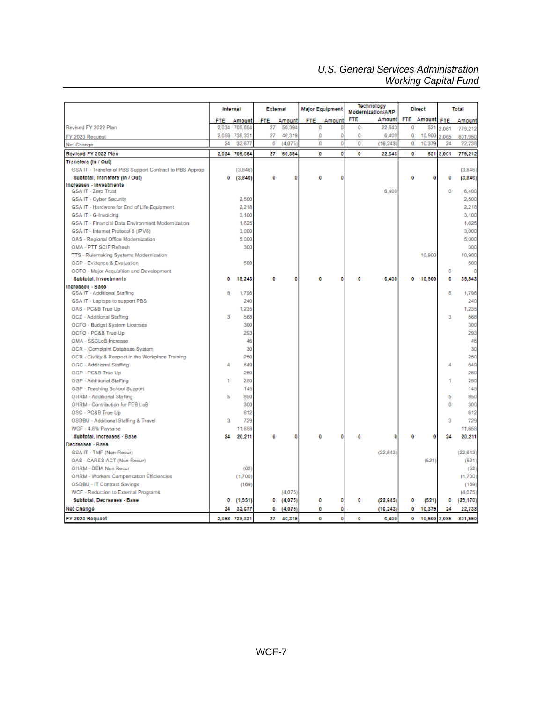### *U.S. General Services Administration Working Capital Fund*

|                                                         | Internal |               | External   |         |     | <b>Major Equipment</b> | Technology<br>Modernization/ARP |           |            | <b>Direct</b> |            | Total     |
|---------------------------------------------------------|----------|---------------|------------|---------|-----|------------------------|---------------------------------|-----------|------------|---------------|------------|-----------|
|                                                         | FTE      | Amount        | <b>FTE</b> | Amount  | FTE | Amount                 | <b>FTE</b>                      | Amount    | <b>FTE</b> | Amount        | <b>FTE</b> | Amount    |
| Revised FY 2022 Plan                                    | 2.034    | 705.654       | 27         | 50,394  | Ō   |                        | Ō                               | 22.643    | Ō          | 521           | 2.061      | 779.212   |
| FY 2023 Request                                         | 2.058    | 738,331       | 27         | 46,319  | 0   | 0                      | 0                               | 6,400     | 0          | 10,900        | 2.085      | 801.950   |
| Net Change                                              | 24       | 32.677        | 0          | (4.075) | ō   | 0                      | Ō                               | (16, 243) | Ō          | 10.379        | 24         | 22,738    |
| Revised FY 2022 Plan                                    | 2.034    | 705,654       | 27         | 50.394  | o   | o                      | Ō                               | 22.643    | o          | 521           | 2.061      | 779.212   |
| Transfers (In / Out)                                    |          |               |            |         |     |                        |                                 |           |            |               |            |           |
| GSA IT - Transfer of PBS Support Contract to PBS Approp |          | (3.846)       |            |         |     |                        |                                 |           |            |               |            | (3,846)   |
| Subtotal, Transfers (In / Out)                          | 0        | (3,846)       | 0          | 0       | 0   | ٥                      |                                 |           | ٥          | ٥             | ٥          | (3, 846)  |
| Increases - Investments                                 |          |               |            |         |     |                        |                                 |           |            |               |            |           |
| <b>GSA IT - Zero Trust</b>                              |          |               |            |         |     |                        |                                 | 6,400     |            |               | 0          | 6.400     |
| <b>GSA IT - Cyber Security</b>                          |          | 2,500         |            |         |     |                        |                                 |           |            |               |            | 2,500     |
| GSA IT - Hardware for End of Life Equipment             |          | 2.218         |            |         |     |                        |                                 |           |            |               |            | 2.218     |
| GSA IT - G-Invoicing                                    |          | 3.100         |            |         |     |                        |                                 |           |            |               |            | 3.100     |
| GSA IT - Financial Data Environment Modernization       |          | 1.625         |            |         |     |                        |                                 |           |            |               |            | 1.625     |
| GSA IT - Internet Protocol 6 (IPV6)                     |          | 3,000         |            |         |     |                        |                                 |           |            |               |            | 3,000     |
| OAS - Regional Office Modernization                     |          | 5,000         |            |         |     |                        |                                 |           |            |               |            | 5,000     |
| OMA - PTT SCIF Refresh                                  |          | 300           |            |         |     |                        |                                 |           |            |               |            | 300       |
| TTS - Rulemaking Systems Modernization                  |          |               |            |         |     |                        |                                 |           |            | 10,900        |            | 10,900    |
| OGP - Evidence & Evaluation                             |          | 500           |            |         |     |                        |                                 |           |            |               |            | 500       |
| OCFO - Major Acquisition and Development                |          |               |            |         |     |                        |                                 |           |            |               | o          | O         |
| Subtotal, Investments                                   | ٥        | 18,243        | ٥          | o       | 0   | ٥                      | Ō                               | 6,400     | ٥          | 10,900        | ٥          | 35,543    |
| Increases - Base                                        |          |               |            |         |     |                        |                                 |           |            |               |            |           |
| GSA IT - Additional Staffing                            | 8        | 1,796         |            |         |     |                        |                                 |           |            |               | 8          | 1,796     |
| GSA IT - Laptops to support PBS                         |          | 240           |            |         |     |                        |                                 |           |            |               |            | 240       |
| OAS - PC&B True Up                                      |          | 1.235         |            |         |     |                        |                                 |           |            |               |            | 1.235     |
| OCE - Additional Staffing                               | 3        | 568           |            |         |     |                        |                                 |           |            |               | 3          | 568       |
| OCFO - Budget System Licenses                           |          | 300           |            |         |     |                        |                                 |           |            |               |            | 300       |
| OCFO - PC&B True Up                                     |          | 293           |            |         |     |                        |                                 |           |            |               |            | 293       |
| OMA - SSCLoB Increase                                   |          | 46            |            |         |     |                        |                                 |           |            |               |            | 46        |
| OCR - iComplaint Database System                        |          | 30            |            |         |     |                        |                                 |           |            |               |            | 30        |
| OCR - Civility & Respect in the Workplace Training      |          | 250           |            |         |     |                        |                                 |           |            |               |            | 250       |
| OGC - Additional Staffing                               | Δ        | 649           |            |         |     |                        |                                 |           |            |               | 4          | 649       |
| OGP - PC&B True Up                                      |          | 260           |            |         |     |                        |                                 |           |            |               |            | 260       |
| OGP - Additional Staffing                               | 1        | 250           |            |         |     |                        |                                 |           |            |               | ٠          | 250       |
| OGP - Teaching School Support                           |          | 145           |            |         |     |                        |                                 |           |            |               |            | 145       |
| OHRM - Additional Staffing                              | 5        | 850           |            |         |     |                        |                                 |           |            |               | 5          | 850       |
| OHRM - Contribution for FEB LoB                         |          | 300           |            |         |     |                        |                                 |           |            |               | 0          | 300       |
| OSC - PC&B True Up                                      |          | 612           |            |         |     |                        |                                 |           |            |               |            | 612       |
| OSDBU - Additional Staffing & Travel                    | я        | 729           |            |         |     |                        |                                 |           |            |               | я          | 729       |
| WCF - 4.6% Payraise                                     |          | 11,658        |            |         |     |                        |                                 |           |            |               |            | 11,658    |
| Subtotal, Increases - Base<br><b>Decreases - Вазе</b>   | 24       | 20,211        | ٥          | ۰       | o   | ٥                      | ٥                               | ٥         | O          | 0             | 24         | 20,211    |
|                                                         |          |               |            |         |     |                        |                                 |           |            |               |            |           |
| GSA IT - TMF (Non-Recur)                                |          |               |            |         |     |                        |                                 | (22, 643) |            |               |            | (22, 643) |
| OAS - CARES ACT (Non-Recur)                             |          |               |            |         |     |                        |                                 |           |            | (521)         |            | (521)     |
| OHRM - DEIA Non Recur                                   |          | (62)          |            |         |     |                        |                                 |           |            |               |            | (62)      |
| OHRM - Workers Compensation Efficiencies                |          | (1,700)       |            |         |     |                        |                                 |           |            |               |            | (1,700)   |
| <b>OSDBU - IT Contract Savings</b>                      |          | (169)         |            |         |     |                        |                                 |           |            |               |            | (169)     |
| WCF - Reduction to External Programs                    |          |               |            | (4,075) |     |                        |                                 |           |            |               |            | (4,075)   |
| Subtotal, Decreases - Base                              | 0        | (1, 931)      | 0          | (4,075) | 0   | ٥                      | 0                               | (22, 643) | 0          | (521)         | ۰          | (29, 170) |
| Net Change                                              | 24       | 32,677        | 0          | (4,075) | o   | 0                      |                                 | (16, 243) | ٥          | 10,379        | 24         | 22,738    |
| FY 2023 Request                                         |          | 2.058 738.331 | 27         | 46,319  | 0   | $\bullet$              | Ō                               | 6,400     | 0          | 10,900        | 2.085      | 801.950   |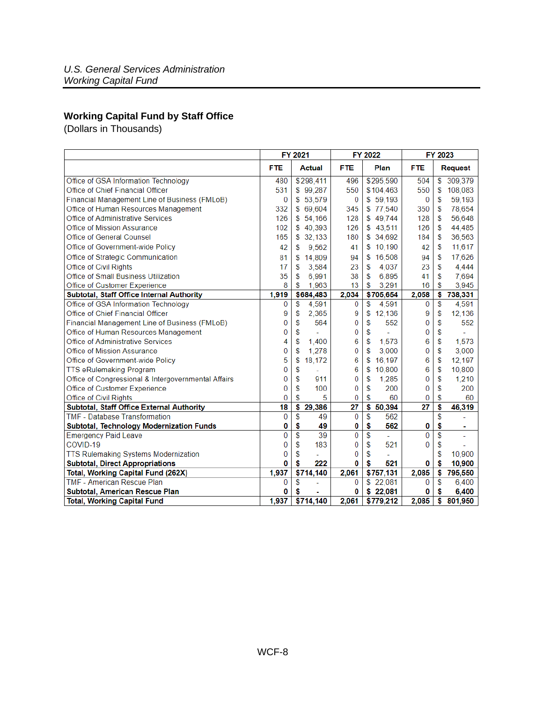## <span id="page-7-0"></span>**Working Capital Fund by Staff Office**

(Dollars in Thousands)

|                                                     |            | FY 2021                   |            | FY 2022      |            | FY 2023                          |
|-----------------------------------------------------|------------|---------------------------|------------|--------------|------------|----------------------------------|
|                                                     | <b>FTE</b> | <b>Actual</b>             | <b>FTE</b> | Plan         | <b>FTE</b> | Request                          |
| Office of GSA Information Technology                | 480        | \$298,411                 | 496        | \$295,590    | 504        | 309,379<br>\$                    |
| Office of Chief Financial Officer                   | 531        | \$99,287                  | 550        | \$104,463    | 550        | S<br>108,083                     |
| Financial Management Line of Business (FMLoB)       | $\bf{0}$   | \$53,579                  | 0          | \$59.193     | $\bf{0}$   | \$<br>59,193                     |
| Office of Human Resources Management                | 332        | \$69,604                  | 345        | \$77,540     | 350        | 78,654<br>\$                     |
| Office of Administrative Services                   | 126        | \$54,166                  | 128        | \$49,744     | 128        | \$<br>56,648                     |
| Office of Mission Assurance                         | 102        | \$40,393                  | 126        | \$43,511     | 126        | \$<br>44,485                     |
| Office of General Counsel                           | 165        | \$32,133                  | 180        | \$34,692     | 184        | \$<br>36,563                     |
| Office of Government-wide Policy                    | 42         | 9,562<br>\$               | 41         | \$10,190     | 42         | 11,617<br>\$                     |
| Office of Strategic Communication                   | 81         | 14,809<br>S.              | 94         | \$16,508     | 94         | 17,626<br>\$                     |
| Office of Civil Rights                              | 17         | 3,584<br>\$               | 23         | 4.037<br>S   | 23         | \$<br>4.444                      |
| Office of Small Business Utilization                | 35         | \$<br>6,991               | 38         | \$<br>6,895  | 41         | \$<br>7,694                      |
| Office of Customer Experience                       | 8          | 1,963<br>\$               | 13         | \$<br>3,291  | 16         | \$<br>3,945                      |
| Subtotal, Staff Office Internal Authority           | 1,919      | \$684,483                 | 2,034      | \$705,654    | 2,058      | \$<br>738,331                    |
| Office of GSA Information Technology                | 0          | \$<br>4,591               | 0          | \$<br>4,591  | 0          | $\overline{\mathbb{S}}$<br>4,591 |
| Office of Chief Financial Officer                   | 9          | \$<br>2,365               | 9          | \$<br>12,136 | 9          | \$<br>12,136                     |
| Financial Management Line of Business (FMLoB)       | 0          | \$<br>564                 | 0          | \$<br>552    | 0          | \$<br>552                        |
| Office of Human Resources Management                | 0          | \$                        | 0          | \$           | 0          | \$                               |
| Office of Administrative Services                   | 4          | \$<br>1,400               | 6          | \$<br>1,573  | 6          | \$<br>1,573                      |
| Office of Mission Assurance                         | 0          | 1.278<br>\$               | 0          | \$<br>3,000  | 0          | \$<br>3.000                      |
| Office of Government-wide Policy                    | 5          | 18.172<br>\$              | 6          | \$<br>16,197 | 6          | \$<br>12.197                     |
| <b>TTS eRulemaking Program</b>                      | 0          | \$<br>L,                  | 6          | 10,800<br>\$ | 6          | \$<br>10,800                     |
| Office of Congressional & Intergovernmental Affairs | 0          | \$<br>911                 | 0          | \$<br>1,285  | 0          | \$<br>1,210                      |
| Office of Customer Experience                       | 0          | \$<br>100                 | 0          | \$<br>200    | 0          | \$<br>200                        |
| Office of Civil Rights                              | 0          | \$<br>5                   | 0          | \$<br>60     | 0          | \$<br>60                         |
| Subtotal, Staff Office External Authority           | 18         | $\overline{\$}$<br>29,386 | 27         | \$<br>50,394 | 27         | \$<br>46,319                     |
| <b>TMF</b> - Database Transformation                | 0          | S<br>49                   | 0          | \$<br>562    |            | \$                               |
| Subtotal, Technology Modernization Funds            | 0          | \$<br>49                  | 0          | \$<br>562    | 0          | \$<br>٠                          |
| <b>Emergency Paid Leave</b>                         | 0          | \$<br>39                  | 0          | \$<br>÷,     | 0          | \$                               |
| COVID-19                                            | 0          | \$<br>183                 | 0          | \$<br>521    | 0          | \$                               |
| <b>TTS Rulemaking Systems Modernization</b>         | 0          | \$                        | 0          | \$           |            | \$<br>10.900                     |
| <b>Subtotal, Direct Appropriations</b>              | 0          | \$<br>222                 | 0          | \$<br>521    | 0          | 10,900<br>\$                     |
| Total, Working Capital Fund (262X)                  | 1,937      | \$714,140                 | 2.061      | \$757,131    | 2,085      | \$<br>795,550                    |
| <b>TMF - American Rescue Plan</b>                   | 0          | \$                        | 0          | \$22,081     | 0          | \$<br>6,400                      |
| Subtotal, American Rescue Plan                      | 0          | \$                        | 0          | \$22,081     | 0          | \$<br>6,400                      |
| <b>Total, Working Capital Fund</b>                  | 1,937      | \$714,140                 | 2.061      | \$779,212    | 2,085      | \$<br>801,950                    |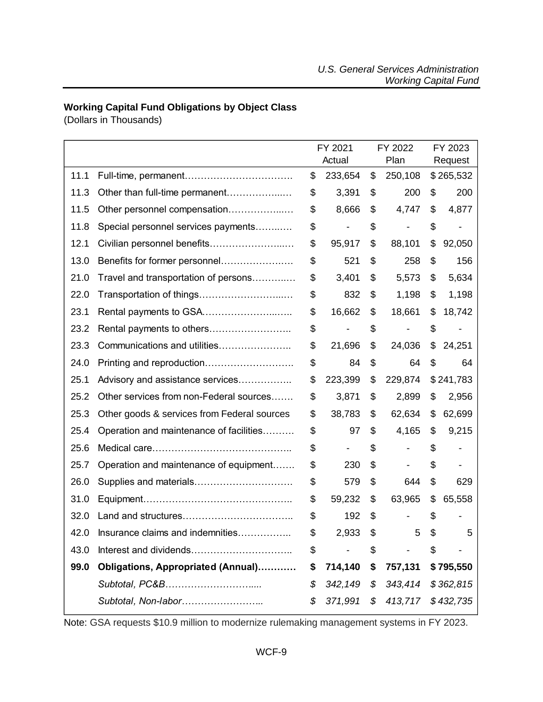## <span id="page-8-0"></span>**Working Capital Fund Obligations by Object Class**

(Dollars in Thousands)

|      |                                             | FY 2021       | FY 2022       |         | FY 2023   |
|------|---------------------------------------------|---------------|---------------|---------|-----------|
|      |                                             | Actual        | Plan          | Request |           |
| 11.1 |                                             | \$<br>233,654 | \$<br>250,108 |         | \$265,532 |
| 11.3 | Other than full-time permanent              | \$<br>3,391   | \$<br>200     | \$      | 200       |
| 11.5 | Other personnel compensation                | \$<br>8,666   | \$<br>4,747   | \$      | 4,877     |
| 11.8 | Special personnel services payments         | \$            | \$            | \$      |           |
| 12.1 | Civilian personnel benefits                 | \$<br>95,917  | \$<br>88,101  | \$      | 92,050    |
| 13.0 | Benefits for former personnel               | \$<br>521     | \$<br>258     | \$      | 156       |
| 21.0 | Travel and transportation of persons        | \$<br>3,401   | \$<br>5,573   | \$      | 5,634     |
| 22.0 | Transportation of things                    | \$<br>832     | \$<br>1,198   | \$      | 1,198     |
| 23.1 |                                             | \$<br>16,662  | \$<br>18,661  | \$      | 18,742    |
| 23.2 |                                             | \$            | \$            | \$      |           |
| 23.3 | Communications and utilities                | \$<br>21,696  | \$<br>24,036  | \$      | 24,251    |
| 24.0 |                                             | \$<br>84      | \$<br>64      | \$      | 64        |
| 25.1 | Advisory and assistance services            | \$<br>223,399 | \$<br>229,874 |         | \$241,783 |
| 25.2 | Other services from non-Federal sources     | \$<br>3,871   | \$<br>2,899   | \$      | 2,956     |
| 25.3 | Other goods & services from Federal sources | \$<br>38,783  | \$<br>62,634  | \$      | 62,699    |
| 25.4 | Operation and maintenance of facilities     | \$<br>97      | \$<br>4,165   | \$      | 9,215     |
| 25.6 |                                             | \$            | \$            | \$      |           |
| 25.7 | Operation and maintenance of equipment      | \$<br>230     | \$            | \$      |           |
| 26.0 |                                             | \$<br>579     | \$<br>644     | \$      | 629       |
| 31.0 |                                             | \$<br>59,232  | \$<br>63,965  | \$      | 65,558    |
| 32.0 |                                             | \$<br>192     | \$            | S       |           |
| 42.0 | Insurance claims and indemnities.           | \$<br>2,933   | \$<br>5       | \$      | 5         |
| 43.0 |                                             | \$            | \$            | S       |           |
| 99.0 | Obligations, Appropriated (Annual)          | \$<br>714,140 | \$<br>757,131 |         | \$795,550 |
|      | Subtotal, PC&B                              | \$<br>342,149 | \$<br>343,414 |         | \$362,815 |
|      | Subtotal, Non-labor                         | \$<br>371,991 | \$<br>413,717 |         | \$432,735 |

Note: GSA requests \$10.9 million to modernize rulemaking management systems in FY 2023.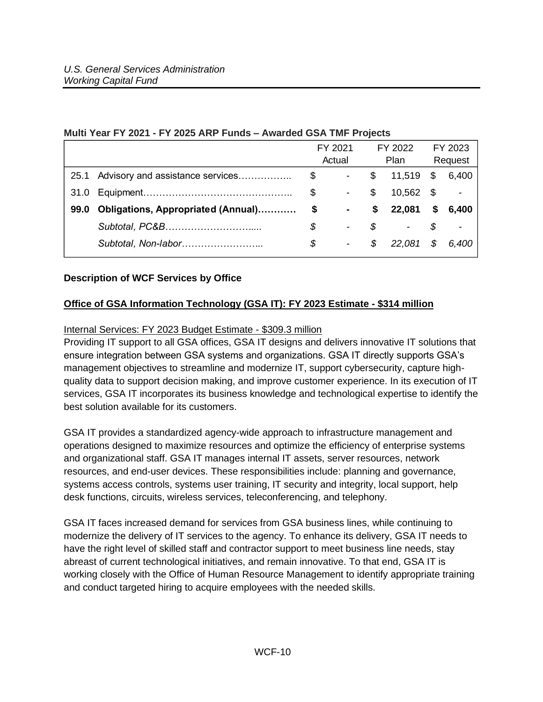|      |                                    |    | FY 2021                  | FY 2022 |                          |      | FY 2023       |
|------|------------------------------------|----|--------------------------|---------|--------------------------|------|---------------|
|      |                                    |    | Actual                   | Plan    |                          |      | Request       |
| 25.1 | Advisory and assistance services   | \$ | $\sim 100$               |         | \$11,519                 | \$   | 6,400         |
| 31.0 |                                    | \$ | $\blacksquare$           | \$      | 10,562                   | - \$ | $\frac{1}{2}$ |
| 99.0 | Obligations, Appropriated (Annual) | \$ | $\blacksquare$           | \$      | 22,081                   | \$   | 6.400         |
|      |                                    | \$ | $\overline{\phantom{0}}$ | S       | $\overline{\phantom{a}}$ | S    |               |
|      | Subtotal, Non-labor                | S  | $\overline{\phantom{0}}$ | S.      | 22,081                   | \$   | 6,400         |
|      |                                    |    |                          |         |                          |      |               |

### **Multi Year FY 2021 - FY 2025 ARP Funds – Awarded GSA TMF Projects**

#### <span id="page-9-0"></span>**Description of WCF Services by Office**

### **Office of GSA Information Technology (GSA IT): FY 2023 Estimate - \$314 million**

#### Internal Services: FY 2023 Budget Estimate - \$309.3 million

Providing IT support to all GSA offices, GSA IT designs and delivers innovative IT solutions that ensure integration between GSA systems and organizations. GSA IT directly supports GSA's management objectives to streamline and modernize IT, support cybersecurity, capture highquality data to support decision making, and improve customer experience. In its execution of IT services, GSA IT incorporates its business knowledge and technological expertise to identify the best solution available for its customers.

GSA IT provides a standardized agency-wide approach to infrastructure management and operations designed to maximize resources and optimize the efficiency of enterprise systems and organizational staff. GSA IT manages internal IT assets, server resources, network resources, and end-user devices. These responsibilities include: planning and governance, systems access controls, systems user training, IT security and integrity, local support, help desk functions, circuits, wireless services, teleconferencing, and telephony.

GSA IT faces increased demand for services from GSA business lines, while continuing to modernize the delivery of IT services to the agency. To enhance its delivery, GSA IT needs to have the right level of skilled staff and contractor support to meet business line needs, stay abreast of current technological initiatives, and remain innovative. To that end, GSA IT is working closely with the Office of Human Resource Management to identify appropriate training and conduct targeted hiring to acquire employees with the needed skills.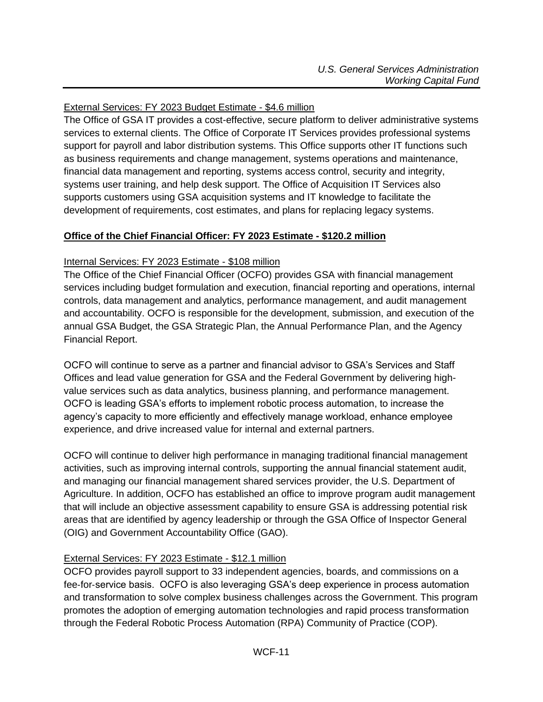## External Services: FY 2023 Budget Estimate - \$4.6 million

The Office of GSA IT provides a cost-effective, secure platform to deliver administrative systems services to external clients. The Office of Corporate IT Services provides professional systems support for payroll and labor distribution systems. This Office supports other IT functions such as business requirements and change management, systems operations and maintenance, financial data management and reporting, systems access control, security and integrity, systems user training, and help desk support. The Office of Acquisition IT Services also supports customers using GSA acquisition systems and IT knowledge to facilitate the development of requirements, cost estimates, and plans for replacing legacy systems.

### **Office of the Chief Financial Officer: FY 2023 Estimate - \$120.2 million**

#### Internal Services: FY 2023 Estimate - \$108 million

The Office of the Chief Financial Officer (OCFO) provides GSA with financial management services including budget formulation and execution, financial reporting and operations, internal controls, data management and analytics, performance management, and audit management and accountability. OCFO is responsible for the development, submission, and execution of the annual GSA Budget, the GSA Strategic Plan, the Annual Performance Plan, and the Agency Financial Report.

OCFO will continue to serve as a partner and financial advisor to GSA's Services and Staff Offices and lead value generation for GSA and the Federal Government by delivering highvalue services such as data analytics, business planning, and performance management. OCFO is leading GSA's efforts to implement robotic process automation, to increase the agency's capacity to more efficiently and effectively manage workload, enhance employee experience, and drive increased value for internal and external partners.

OCFO will continue to deliver high performance in managing traditional financial management activities, such as improving internal controls, supporting the annual financial statement audit, and managing our financial management shared services provider, the U.S. Department of Agriculture. In addition, OCFO has established an office to improve program audit management that will include an objective assessment capability to ensure GSA is addressing potential risk areas that are identified by agency leadership or through the GSA Office of Inspector General (OIG) and Government Accountability Office (GAO).

### External Services: FY 2023 Estimate - \$12.1 million

OCFO provides payroll support to 33 independent agencies, boards, and commissions on a fee-for-service basis. OCFO is also leveraging GSA's deep experience in process automation and transformation to solve complex business challenges across the Government. This program promotes the adoption of emerging automation technologies and rapid process transformation through the Federal Robotic Process Automation (RPA) Community of Practice (COP).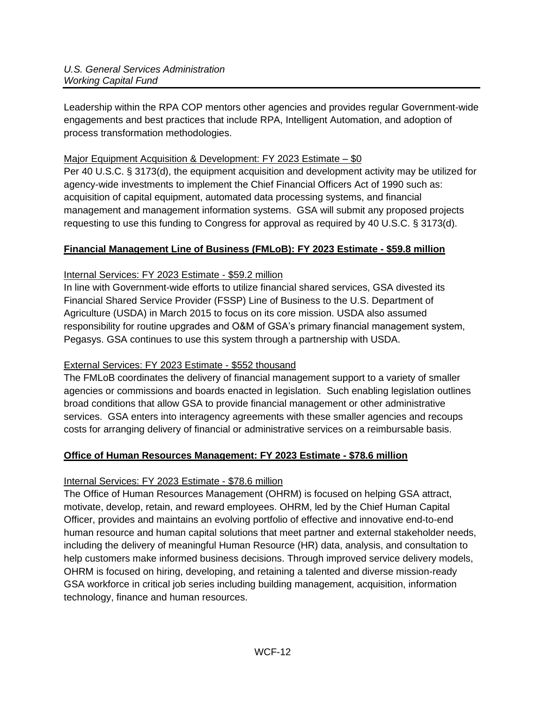Leadership within the RPA COP mentors other agencies and provides regular Government-wide engagements and best practices that include RPA, Intelligent Automation, and adoption of process transformation methodologies.

## Major Equipment Acquisition & Development: FY 2023 Estimate – \$0

Per 40 U.S.C. § 3173(d), the equipment acquisition and development activity may be utilized for agency-wide investments to implement the Chief Financial Officers Act of 1990 such as: acquisition of capital equipment, automated data processing systems, and financial management and management information systems. GSA will submit any proposed projects requesting to use this funding to Congress for approval as required by 40 U.S.C. § 3173(d).

## **Financial Management Line of Business (FMLoB): FY 2023 Estimate - \$59.8 million**

## Internal Services: FY 2023 Estimate - \$59.2 million

In line with Government-wide efforts to utilize financial shared services, GSA divested its Financial Shared Service Provider (FSSP) Line of Business to the U.S. Department of Agriculture (USDA) in March 2015 to focus on its core mission. USDA also assumed responsibility for routine upgrades and O&M of GSA's primary financial management system, Pegasys. GSA continues to use this system through a partnership with USDA.

## External Services: FY 2023 Estimate - \$552 thousand

The FMLoB coordinates the delivery of financial management support to a variety of smaller agencies or commissions and boards enacted in legislation. Such enabling legislation outlines broad conditions that allow GSA to provide financial management or other administrative services. GSA enters into interagency agreements with these smaller agencies and recoups costs for arranging delivery of financial or administrative services on a reimbursable basis.

## **Office of Human Resources Management: FY 2023 Estimate - \$78.6 million**

## Internal Services: FY 2023 Estimate - \$78.6 million

The Office of Human Resources Management (OHRM) is focused on helping GSA attract, motivate, develop, retain, and reward employees. OHRM, led by the Chief Human Capital Officer, provides and maintains an evolving portfolio of effective and innovative end-to-end human resource and human capital solutions that meet partner and external stakeholder needs, including the delivery of meaningful Human Resource (HR) data, analysis, and consultation to help customers make informed business decisions. Through improved service delivery models, OHRM is focused on hiring, developing, and retaining a talented and diverse mission-ready GSA workforce in critical job series including building management, acquisition, information technology, finance and human resources.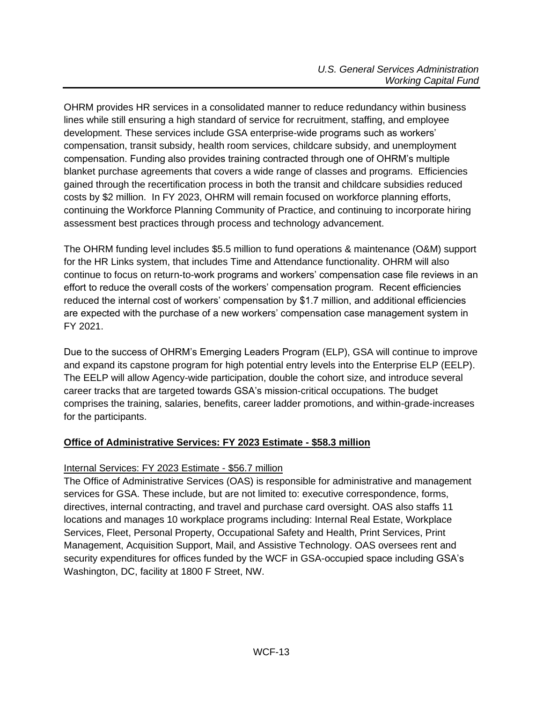OHRM provides HR services in a consolidated manner to reduce redundancy within business lines while still ensuring a high standard of service for recruitment, staffing, and employee development. These services include GSA enterprise-wide programs such as workers' compensation, transit subsidy, health room services, childcare subsidy, and unemployment compensation. Funding also provides training contracted through one of OHRM's multiple blanket purchase agreements that covers a wide range of classes and programs. Efficiencies gained through the recertification process in both the transit and childcare subsidies reduced costs by \$2 million. In FY 2023, OHRM will remain focused on workforce planning efforts, continuing the Workforce Planning Community of Practice, and continuing to incorporate hiring assessment best practices through process and technology advancement.

The OHRM funding level includes \$5.5 million to fund operations & maintenance (O&M) support for the HR Links system, that includes Time and Attendance functionality. OHRM will also continue to focus on return-to-work programs and workers' compensation case file reviews in an effort to reduce the overall costs of the workers' compensation program. Recent efficiencies reduced the internal cost of workers' compensation by \$1.7 million, and additional efficiencies are expected with the purchase of a new workers' compensation case management system in FY 2021.

Due to the success of OHRM's Emerging Leaders Program (ELP), GSA will continue to improve and expand its capstone program for high potential entry levels into the Enterprise ELP (EELP). The EELP will allow Agency-wide participation, double the cohort size, and introduce several career tracks that are targeted towards GSA's mission-critical occupations. The budget comprises the training, salaries, benefits, career ladder promotions, and within-grade-increases for the participants.

## **Office of Administrative Services: FY 2023 Estimate - \$58.3 million**

### Internal Services: FY 2023 Estimate - \$56.7 million

The Office of Administrative Services (OAS) is responsible for administrative and management services for GSA. These include, but are not limited to: executive correspondence, forms, directives, internal contracting, and travel and purchase card oversight. OAS also staffs 11 locations and manages 10 workplace programs including: Internal Real Estate, Workplace Services, Fleet, Personal Property, Occupational Safety and Health, Print Services, Print Management, Acquisition Support, Mail, and Assistive Technology. OAS oversees rent and security expenditures for offices funded by the WCF in GSA-occupied space including GSA's Washington, DC, facility at 1800 F Street, NW.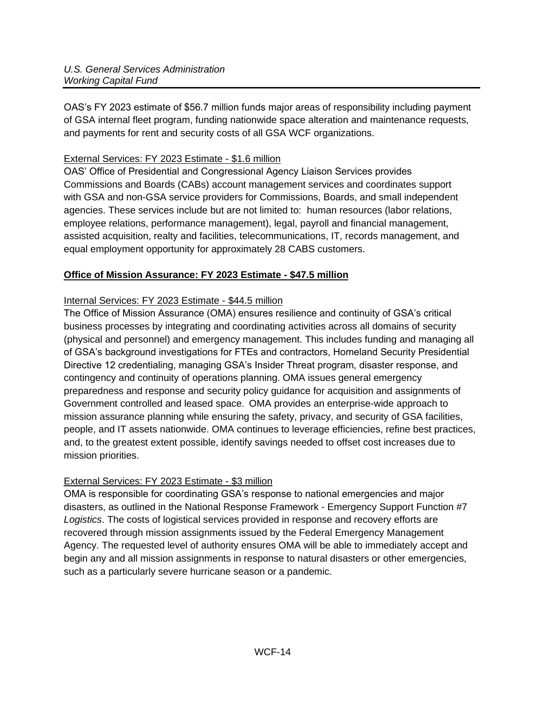OAS's FY 2023 estimate of \$56.7 million funds major areas of responsibility including payment of GSA internal fleet program, funding nationwide space alteration and maintenance requests, and payments for rent and security costs of all GSA WCF organizations.

## External Services: FY 2023 Estimate - \$1.6 million

OAS' Office of Presidential and Congressional Agency Liaison Services provides Commissions and Boards (CABs) account management services and coordinates support with GSA and non-GSA service providers for Commissions, Boards, and small independent agencies. These services include but are not limited to: human resources (labor relations, employee relations, performance management), legal, payroll and financial management, assisted acquisition, realty and facilities, telecommunications, IT, records management, and equal employment opportunity for approximately 28 CABS customers.

## **Office of Mission Assurance: FY 2023 Estimate - \$47.5 million**

## Internal Services: FY 2023 Estimate - \$44.5 million

The Office of Mission Assurance (OMA) ensures resilience and continuity of GSA's critical business processes by integrating and coordinating activities across all domains of security (physical and personnel) and emergency management. This includes funding and managing all of GSA's background investigations for FTEs and contractors, Homeland Security Presidential Directive 12 credentialing, managing GSA's Insider Threat program, disaster response, and contingency and continuity of operations planning. OMA issues general emergency preparedness and response and security policy guidance for acquisition and assignments of Government controlled and leased space. OMA provides an enterprise-wide approach to mission assurance planning while ensuring the safety, privacy, and security of GSA facilities, people, and IT assets nationwide. OMA continues to leverage efficiencies, refine best practices, and, to the greatest extent possible, identify savings needed to offset cost increases due to mission priorities.

## External Services: FY 2023 Estimate - \$3 million

OMA is responsible for coordinating GSA's response to national emergencies and major disasters, as outlined in the National Response Framework - Emergency Support Function #7 *Logistics*. The costs of logistical services provided in response and recovery efforts are recovered through mission assignments issued by the Federal Emergency Management Agency. The requested level of authority ensures OMA will be able to immediately accept and begin any and all mission assignments in response to natural disasters or other emergencies, such as a particularly severe hurricane season or a pandemic.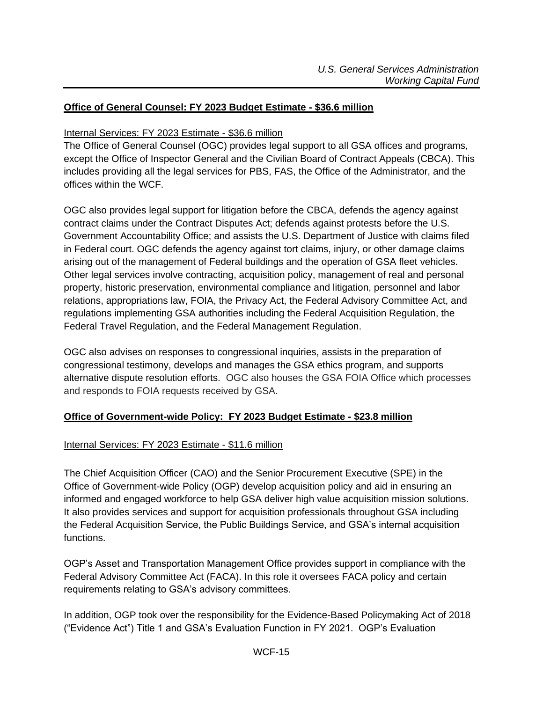### **Office of General Counsel: FY 2023 Budget Estimate - \$36.6 million**

### Internal Services: FY 2023 Estimate - \$36.6 million

The Office of General Counsel (OGC) provides legal support to all GSA offices and programs, except the Office of Inspector General and the Civilian Board of Contract Appeals (CBCA). This includes providing all the legal services for PBS, FAS, the Office of the Administrator, and the offices within the WCF.

OGC also provides legal support for litigation before the CBCA, defends the agency against contract claims under the Contract Disputes Act; defends against protests before the U.S. Government Accountability Office; and assists the U.S. Department of Justice with claims filed in Federal court. OGC defends the agency against tort claims, injury, or other damage claims arising out of the management of Federal buildings and the operation of GSA fleet vehicles. Other legal services involve contracting, acquisition policy, management of real and personal property, historic preservation, environmental compliance and litigation, personnel and labor relations, appropriations law, FOIA, the Privacy Act, the Federal Advisory Committee Act, and regulations implementing GSA authorities including the Federal Acquisition Regulation, the Federal Travel Regulation, and the Federal Management Regulation.

OGC also advises on responses to congressional inquiries, assists in the preparation of congressional testimony, develops and manages the GSA ethics program, and supports alternative dispute resolution efforts. OGC also houses the GSA FOIA Office which processes and responds to FOIA requests received by GSA.

### **Office of Government-wide Policy: FY 2023 Budget Estimate - \$23.8 million**

### Internal Services: FY 2023 Estimate - \$11.6 million

The Chief Acquisition Officer (CAO) and the Senior Procurement Executive (SPE) in the Office of Government-wide Policy (OGP) develop acquisition policy and aid in ensuring an informed and engaged workforce to help GSA deliver high value acquisition mission solutions. It also provides services and support for acquisition professionals throughout GSA including the Federal Acquisition Service, the Public Buildings Service, and GSA's internal acquisition functions.

OGP's Asset and Transportation Management Office provides support in compliance with the Federal Advisory Committee Act (FACA). In this role it oversees FACA policy and certain requirements relating to GSA's advisory committees.

In addition, OGP took over the responsibility for the Evidence-Based Policymaking Act of 2018 ("Evidence Act") Title 1 and GSA's Evaluation Function in FY 2021. OGP's Evaluation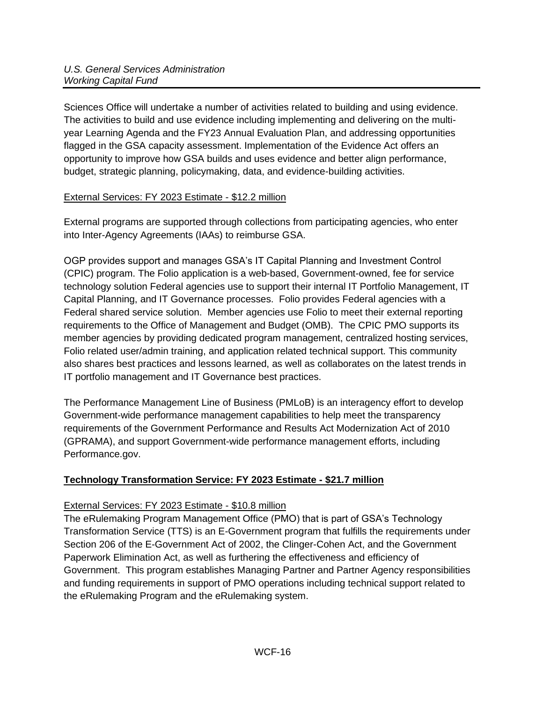Sciences Office will undertake a number of activities related to building and using evidence. The activities to build and use evidence including implementing and delivering on the multiyear Learning Agenda and the FY23 Annual Evaluation Plan, and addressing opportunities flagged in the GSA capacity assessment. Implementation of the Evidence Act offers an opportunity to improve how GSA builds and uses evidence and better align performance, budget, strategic planning, policymaking, data, and evidence-building activities.

## External Services: FY 2023 Estimate - \$12.2 million

External programs are supported through collections from participating agencies, who enter into Inter-Agency Agreements (IAAs) to reimburse GSA.

OGP provides support and manages GSA's IT Capital Planning and Investment Control (CPIC) program. The Folio application is a web-based, Government-owned, fee for service technology solution Federal agencies use to support their internal IT Portfolio Management, IT Capital Planning, and IT Governance processes. Folio provides Federal agencies with a Federal shared service solution. Member agencies use Folio to meet their external reporting requirements to the Office of Management and Budget (OMB). The CPIC PMO supports its member agencies by providing dedicated program management, centralized hosting services, Folio related user/admin training, and application related technical support. This community also shares best practices and lessons learned, as well as collaborates on the latest trends in IT portfolio management and IT Governance best practices.

The Performance Management Line of Business (PMLoB) is an interagency effort to develop Government-wide performance management capabilities to help meet the transparency requirements of the Government Performance and Results Act Modernization Act of 2010 (GPRAMA), and support Government-wide performance management efforts, including Performance.gov.

## **Technology Transformation Service: FY 2023 Estimate - \$21.7 million**

## External Services: FY 2023 Estimate - \$10.8 million

The eRulemaking Program Management Office (PMO) that is part of GSA's Technology Transformation Service (TTS) is an E-Government program that fulfills the requirements under Section 206 of the E-Government Act of 2002, the Clinger-Cohen Act, and the Government Paperwork Elimination Act, as well as furthering the effectiveness and efficiency of Government. This program establishes Managing Partner and Partner Agency responsibilities and funding requirements in support of PMO operations including technical support related to the eRulemaking Program and the eRulemaking system.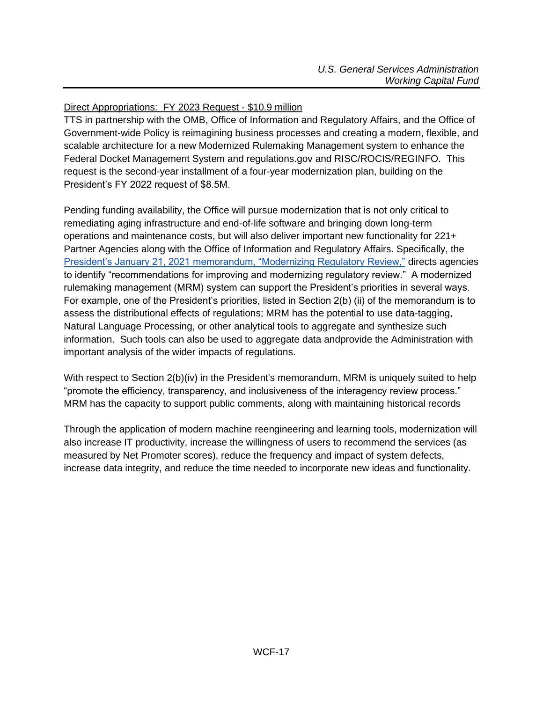## Direct Appropriations: FY 2023 Request - \$10.9 million

TTS in partnership with the OMB, Office of Information and Regulatory Affairs, and the Office of Government-wide Policy is reimagining business processes and creating a modern, flexible, and scalable architecture for a new Modernized Rulemaking Management system to enhance the Federal Docket Management System and regulations.gov and RISC/ROCIS/REGINFO. This request is the second-year installment of a four-year modernization plan, building on the President's FY 2022 request of \$8.5M.

Pending funding availability, the Office will pursue modernization that is not only critical to remediating aging infrastructure and end-of-life software and bringing down long-term operations and maintenance costs, but will also deliver important new functionality for 221+ Partner Agencies along with the Office of Information and Regulatory Affairs. Specifically, the [President's January 21, 2021 memorandum, "Modernizing Regulatory Review,"](https://www.whitehouse.gov/briefing-room/presidential-actions/2021/01/20/modernizing-regulatory-review/) directs agencies to identify "recommendations for improving and modernizing regulatory review." A modernized rulemaking management (MRM) system can support the President's priorities in several ways. For example, one of the President's priorities, listed in Section 2(b) (ii) of the memorandum is to assess the distributional effects of regulations; MRM has the potential to use data-tagging, Natural Language Processing, or other analytical tools to aggregate and synthesize such information. Such tools can also be used to aggregate data andprovide the Administration with important analysis of the wider impacts of regulations.

With respect to Section 2(b)(iv) in the President's memorandum, MRM is uniquely suited to help "promote the efficiency, transparency, and inclusiveness of the interagency review process." MRM has the capacity to support public comments, along with maintaining historical records

Through the application of modern machine reengineering and learning tools, modernization will also increase IT productivity, increase the willingness of users to recommend the services (as measured by Net Promoter scores), reduce the frequency and impact of system defects, increase data integrity, and reduce the time needed to incorporate new ideas and functionality.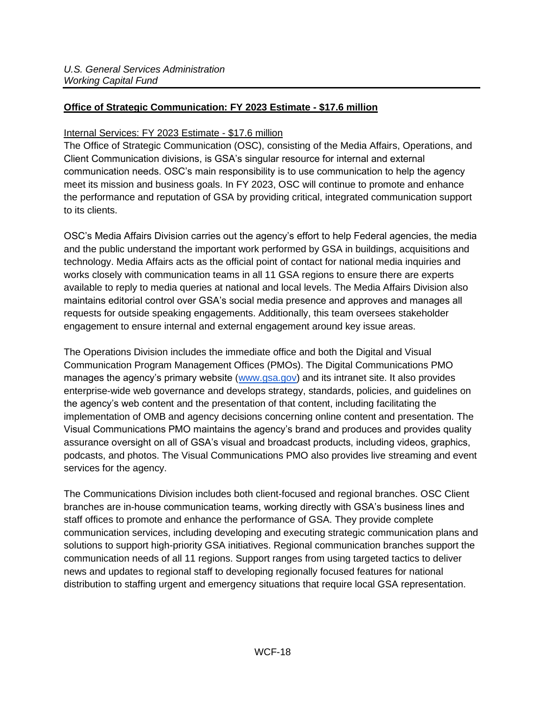## **Office of Strategic Communication: FY 2023 Estimate - \$17.6 million**

### Internal Services: FY 2023 Estimate - \$17.6 million

The Office of Strategic Communication (OSC), consisting of the Media Affairs, Operations, and Client Communication divisions, is GSA's singular resource for internal and external communication needs. OSC's main responsibility is to use communication to help the agency meet its mission and business goals. In FY 2023, OSC will continue to promote and enhance the performance and reputation of GSA by providing critical, integrated communication support to its clients.

OSC's Media Affairs Division carries out the agency's effort to help Federal agencies, the media and the public understand the important work performed by GSA in buildings, acquisitions and technology. Media Affairs acts as the official point of contact for national media inquiries and works closely with communication teams in all 11 GSA regions to ensure there are experts available to reply to media queries at national and local levels. The Media Affairs Division also maintains editorial control over GSA's social media presence and approves and manages all requests for outside speaking engagements. Additionally, this team oversees stakeholder engagement to ensure internal and external engagement around key issue areas.

The Operations Division includes the immediate office and both the Digital and Visual Communication Program Management Offices (PMOs). The Digital Communications PMO manages the agency's primary website [\(www.gsa.gov\)](http://www.gsa.gov/) and its intranet site. It also provides enterprise-wide web governance and develops strategy, standards, policies, and guidelines on the agency's web content and the presentation of that content, including facilitating the implementation of OMB and agency decisions concerning online content and presentation. The Visual Communications PMO maintains the agency's brand and produces and provides quality assurance oversight on all of GSA's visual and broadcast products, including videos, graphics, podcasts, and photos. The Visual Communications PMO also provides live streaming and event services for the agency.

The Communications Division includes both client-focused and regional branches. OSC Client branches are in-house communication teams, working directly with GSA's business lines and staff offices to promote and enhance the performance of GSA. They provide complete communication services, including developing and executing strategic communication plans and solutions to support high-priority GSA initiatives. Regional communication branches support the communication needs of all 11 regions. Support ranges from using targeted tactics to deliver news and updates to regional staff to developing regionally focused features for national distribution to staffing urgent and emergency situations that require local GSA representation.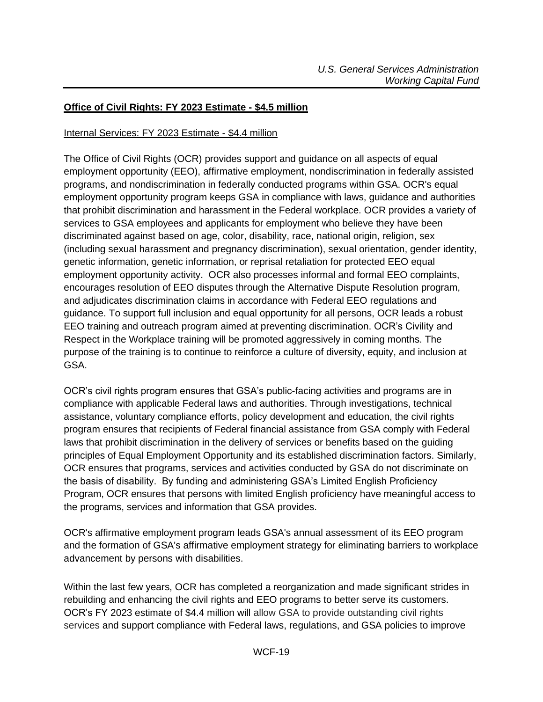### **Office of Civil Rights: FY 2023 Estimate - \$4.5 million**

### Internal Services: FY 2023 Estimate - \$4.4 million

The Office of Civil Rights (OCR) provides support and guidance on all aspects of equal employment opportunity (EEO), affirmative employment, nondiscrimination in federally assisted programs, and nondiscrimination in federally conducted programs within GSA. OCR's equal employment opportunity program keeps GSA in compliance with laws, guidance and authorities that prohibit discrimination and harassment in the Federal workplace. OCR provides a variety of services to GSA employees and applicants for employment who believe they have been discriminated against based on age, color, disability, race, national origin, religion, sex (including sexual harassment and pregnancy discrimination), sexual orientation, gender identity, genetic information, genetic information, or reprisal retaliation for protected EEO equal employment opportunity activity. OCR also processes informal and formal EEO complaints, encourages resolution of EEO disputes through the Alternative Dispute Resolution program, and adjudicates discrimination claims in accordance with Federal EEO regulations and guidance. To support full inclusion and equal opportunity for all persons, OCR leads a robust EEO training and outreach program aimed at preventing discrimination. OCR's Civility and Respect in the Workplace training will be promoted aggressively in coming months. The purpose of the training is to continue to reinforce a culture of diversity, equity, and inclusion at GSA.

OCR's civil rights program ensures that GSA's public-facing activities and programs are in compliance with applicable Federal laws and authorities. Through investigations, technical assistance, voluntary compliance efforts, policy development and education, the civil rights program ensures that recipients of Federal financial assistance from GSA comply with Federal laws that prohibit discrimination in the delivery of services or benefits based on the guiding principles of Equal Employment Opportunity and its established discrimination factors. Similarly, OCR ensures that programs, services and activities conducted by GSA do not discriminate on the basis of disability. By funding and administering GSA's Limited English Proficiency Program, OCR ensures that persons with limited English proficiency have meaningful access to the programs, services and information that GSA provides.

OCR's affirmative employment program leads GSA's annual assessment of its EEO program and the formation of GSA's affirmative employment strategy for eliminating barriers to workplace advancement by persons with disabilities.

Within the last few years, OCR has completed a reorganization and made significant strides in rebuilding and enhancing the civil rights and EEO programs to better serve its customers. OCR's FY 2023 estimate of \$4.4 million will allow GSA to provide outstanding civil rights services and support compliance with Federal laws, regulations, and GSA policies to improve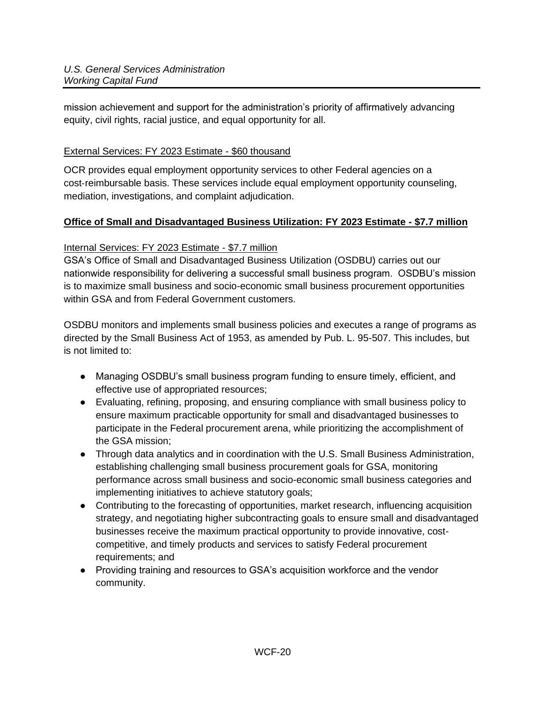mission achievement and support for the administration's priority of affirmatively advancing equity, civil rights, racial justice, and equal opportunity for all.

### External Services: FY 2023 Estimate - \$60 thousand

OCR provides equal employment opportunity services to other Federal agencies on a cost-reimbursable basis. These services include equal employment opportunity counseling, mediation, investigations, and complaint adjudication.

## **Office of Small and Disadvantaged Business Utilization: FY 2023 Estimate - \$7.7 million**

## Internal Services: FY 2023 Estimate - \$7.7 million

GSA's Office of Small and Disadvantaged Business Utilization (OSDBU) carries out our nationwide responsibility for delivering a successful small business program. OSDBU's mission is to maximize small business and socio-economic small business procurement opportunities within GSA and from Federal Government customers.

OSDBU monitors and implements small business policies and executes a range of programs as directed by the Small Business Act of 1953, as amended by Pub. L. 95-507. This includes, but is not limited to:

- Managing OSDBU's small business program funding to ensure timely, efficient, and effective use of appropriated resources;
- Evaluating, refining, proposing, and ensuring compliance with small business policy to ensure maximum practicable opportunity for small and disadvantaged businesses to participate in the Federal procurement arena, while prioritizing the accomplishment of the GSA mission;
- Through data analytics and in coordination with the U.S. Small Business Administration, establishing challenging small business procurement goals for GSA, monitoring performance across small business and socio-economic small business categories and implementing initiatives to achieve statutory goals;
- Contributing to the forecasting of opportunities, market research, influencing acquisition strategy, and negotiating higher subcontracting goals to ensure small and disadvantaged businesses receive the maximum practical opportunity to provide innovative, costcompetitive, and timely products and services to satisfy Federal procurement requirements; and
- Providing training and resources to GSA's acquisition workforce and the vendor community.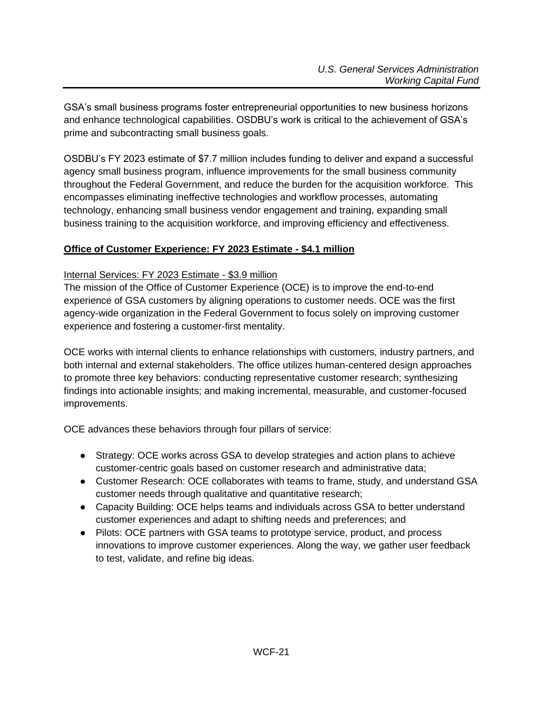GSA's small business programs foster entrepreneurial opportunities to new business horizons and enhance technological capabilities. OSDBU's work is critical to the achievement of GSA's prime and subcontracting small business goals.

OSDBU's FY 2023 estimate of \$7.7 million includes funding to deliver and expand a successful agency small business program, influence improvements for the small business community throughout the Federal Government, and reduce the burden for the acquisition workforce. This encompasses eliminating ineffective technologies and workflow processes, automating technology, enhancing small business vendor engagement and training, expanding small business training to the acquisition workforce, and improving efficiency and effectiveness.

## **Office of Customer Experience: FY 2023 Estimate - \$4.1 million**

### Internal Services: FY 2023 Estimate - \$3.9 million

The mission of the Office of Customer Experience (OCE) is to improve the end-to-end experience of GSA customers by aligning operations to customer needs. OCE was the first agency-wide organization in the Federal Government to focus solely on improving customer experience and fostering a customer-first mentality.

OCE works with internal clients to enhance relationships with customers, industry partners, and both internal and external stakeholders. The office utilizes human-centered design approaches to promote three key behaviors: conducting representative customer research; synthesizing findings into actionable insights; and making incremental, measurable, and customer-focused improvements.

OCE advances these behaviors through four pillars of service:

- Strategy: OCE works across GSA to develop strategies and action plans to achieve customer-centric goals based on customer research and administrative data;
- Customer Research: OCE collaborates with teams to frame, study, and understand GSA customer needs through qualitative and quantitative research;
- Capacity Building: OCE helps teams and individuals across GSA to better understand customer experiences and adapt to shifting needs and preferences; and
- Pilots: OCE partners with GSA teams to prototype service, product, and process innovations to improve customer experiences. Along the way, we gather user feedback to test, validate, and refine big ideas.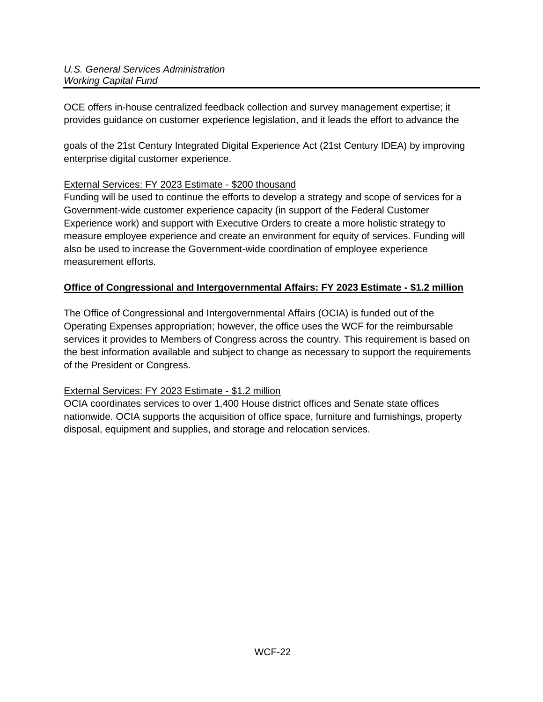OCE offers in-house centralized feedback collection and survey management expertise; it provides guidance on customer experience legislation, and it leads the effort to advance the

goals of the 21st Century Integrated Digital Experience Act (21st Century IDEA) by improving enterprise digital customer experience.

## External Services: FY 2023 Estimate - \$200 thousand

Funding will be used to continue the efforts to develop a strategy and scope of services for a Government-wide customer experience capacity (in support of the Federal Customer Experience work) and support with Executive Orders to create a more holistic strategy to measure employee experience and create an environment for equity of services. Funding will also be used to increase the Government-wide coordination of employee experience measurement efforts.

## **Office of Congressional and Intergovernmental Affairs: FY 2023 Estimate - \$1.2 million**

The Office of Congressional and Intergovernmental Affairs (OCIA) is funded out of the Operating Expenses appropriation; however, the office uses the WCF for the reimbursable services it provides to Members of Congress across the country. This requirement is based on the best information available and subject to change as necessary to support the requirements of the President or Congress.

### External Services: FY 2023 Estimate - \$1.2 million

OCIA coordinates services to over 1,400 House district offices and Senate state offices nationwide. OCIA supports the acquisition of office space, furniture and furnishings, property disposal, equipment and supplies, and storage and relocation services.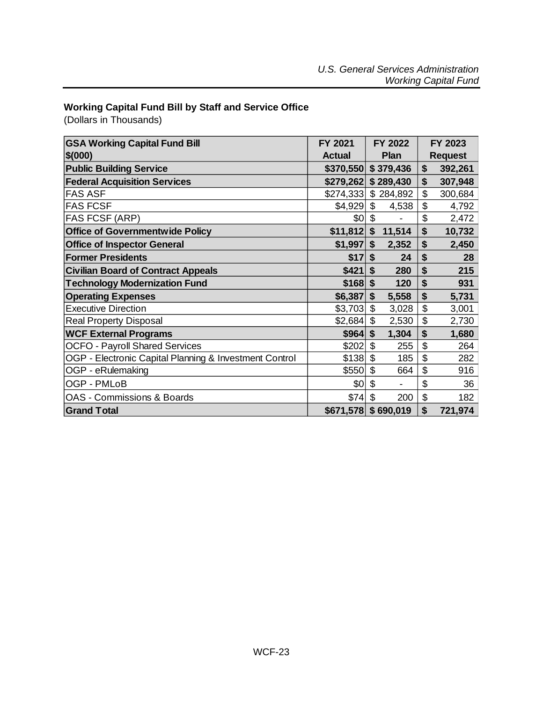## <span id="page-22-0"></span>**Working Capital Fund Bill by Staff and Service Office**

(Dollars in Thousands)

| <b>GSA Working Capital Fund Bill</b><br>\$(000)        | <b>FY 2021</b><br><b>Actual</b> | FY 2022<br>Plan         |                           | FY 2023<br><b>Request</b> |
|--------------------------------------------------------|---------------------------------|-------------------------|---------------------------|---------------------------|
| <b>Public Building Service</b>                         |                                 | $$370,550$ $$379,436$   | \$                        | 392,261                   |
| <b>Federal Acquisition Services</b>                    | \$279,262                       | \$289,430               | \$                        | 307,948                   |
| <b>FAS ASF</b>                                         | \$274,333                       | \$284,892               | \$                        | 300,684                   |
| <b>FAS FCSF</b>                                        | \$4,929                         | \$<br>4,538             | \$                        | 4,792                     |
| FAS FCSF (ARP)                                         | ا0\$                            | \$                      | \$                        | 2,472                     |
| <b>Office of Governmentwide Policy</b>                 | $$11,812$ \$                    | 11,514                  | \$                        | 10,732                    |
| <b>Office of Inspector General</b>                     | \$1,997                         | \$<br>2,352             | \$                        | 2,450                     |
| <b>Former Presidents</b>                               | \$17                            | \$<br>24                | \$                        | 28                        |
| <b>Civilian Board of Contract Appeals</b>              | \$421                           | \$<br>280               | \$                        | 215                       |
| <b>Technology Modernization Fund</b>                   | $$168$ \$                       | 120                     | \$                        | 931                       |
| <b>Operating Expenses</b>                              | \$6,387                         | \$<br>5,558             | \$                        | 5,731                     |
| <b>Executive Direction</b>                             | \$3,703                         | $\mathfrak{S}$<br>3,028 | \$                        | 3,001                     |
| <b>Real Property Disposal</b>                          | \$2,684                         | \$<br>2,530             | $\boldsymbol{\mathsf{S}}$ | 2,730                     |
| <b>WCF External Programs</b>                           | \$964                           | \$<br>1,304             | \$                        | 1,680                     |
| <b>OCFO - Payroll Shared Services</b>                  | \$202                           | \$<br>255               | \$                        | 264                       |
| OGP - Electronic Capital Planning & Investment Control | \$138                           | \$<br>185               | \$                        | 282                       |
| OGP - eRulemaking                                      | \$550                           | \$<br>664               | \$                        | 916                       |
| OGP - PMLoB                                            | \$0                             | \$                      | \$                        | 36                        |
| <b>OAS - Commissions &amp; Boards</b>                  | \$74]                           | \$<br>200               | \$                        | 182                       |
| <b>Grand Total</b>                                     |                                 | $$671,578$ $$690,019$   | \$                        | 721,974                   |